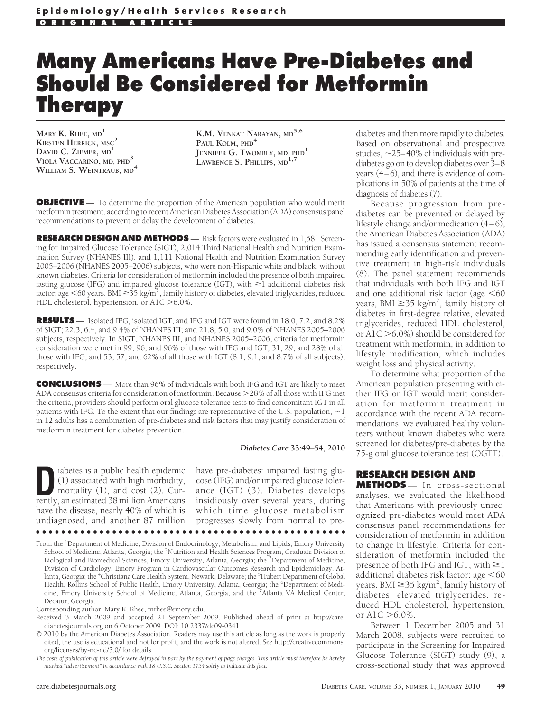# **Many Americans Have Pre-Diabetes and Should Be Considered for Metformin Therapy**

**MARY K. RHEE, MD<sup>1</sup> KIRSTEN HERRICK, MSC<sup>2</sup> DAVID C. ZIEMER, MD<sup>1</sup> VIOLA VACCARINO, MD, PHD<sup>3</sup> WILLIAM S. WEINTRAUB, MD<sup>4</sup>**

**K.M. VENKAT NARAYAN, MD5,6 PAUL KOLM, PHD<sup>4</sup> JENNIFER G. TWOMBLY, MD, PHD1 LAWRENCE S. PHILLIPS, MD1,7**

**OBJECTIVE** — To determine the proportion of the American population who would merit metformin treatment, according to recent American Diabetes Association (ADA) consensus panel recommendations to prevent or delay the development of diabetes.

**RESEARCH DESIGN AND METHODS** — Risk factors were evaluated in 1,581 Screening for Impaired Glucose Tolerance (SIGT), 2,014 Third National Health and Nutrition Examination Survey (NHANES III), and 1,111 National Health and Nutrition Examination Survey 2005–2006 (NHANES 2005–2006) subjects, who were non-Hispanic white and black, without known diabetes. Criteria for consideration of metformin included the presence of both impaired fasting glucose (IFG) and impaired glucose tolerance (IGT), with  $\geq 1$  additional diabetes risk factor: age  $<$  60 years, BMI  $\geq$  35 kg/m<sup>2</sup>, family history of diabetes, elevated triglycerides, reduced HDL cholesterol, hypertension, or A1C >6.0%.

**RESULTS** — Isolated IFG, isolated IGT, and IFG and IGT were found in 18.0, 7.2, and 8.2% of SIGT; 22.3, 6.4, and 9.4% of NHANES III; and 21.8, 5.0, and 9.0% of NHANES 2005–2006 subjects, respectively. In SIGT, NHANES III, and NHANES 2005–2006, criteria for metformin consideration were met in 99, 96, and 96% of those with IFG and IGT; 31, 29, and 28% of all those with IFG; and 53, 57, and 62% of all those with IGT (8.1, 9.1, and 8.7% of all subjects), respectively.

**CONCLUSIONS** — More than 96% of individuals with both IFG and IGT are likely to meet ADA consensus criteria for consideration of metformin. Because  $>$  28% of all those with IFG met the criteria, providers should perform oral glucose tolerance tests to find concomitant IGT in all patients with IFG. To the extent that our findings are representative of the U.S. population,  $\sim$  1 in 12 adults has a combination of pre-diabetes and risk factors that may justify consideration of metformin treatment for diabetes prevention.

#### *Diabetes Care* **33:49–54, 2010**

iabetes is a public health epidemic (1) associated with high morbidity, mortality (1), and cost (2). Currently, an estimated 38 million Americans have the disease, nearly 40% of which is undiagnosed, and another 87 million

have pre-diabetes: impaired fasting glucose (IFG) and/or impaired glucose tolerance (IGT) (3). Diabetes develops insidiously over several years, during which time glucose metabolism progresses slowly from normal to pre-

From the <sup>1</sup>Department of Medicine, Division of Endocrinology, Metabolism, and Lipids, Emory University School of Medicine, Atlanta, Georgia; the <sup>2</sup>Nutrition and Health Sciences Program, Graduate Division of Biological and Biomedical Sciences, Emory University, Atlanta, Georgia; the <sup>3</sup>Department of Medicine, Division of Cardiology, Emory Program in Cardiovascular Outcomes Research and Epidemiology, Atlanta, Georgia; the <sup>4</sup>Christiana Care Health System, Newark, Delaware; the <sup>5</sup>Hubert Department of Global Health, Rollins School of Public Health, Emory University, Atlanta, Georgia; the <sup>6</sup>Department of Medicine, Emory University School of Medicine, Atlanta, Georgia; and the <sup>7</sup>Atlanta VA Medical Center, Decatur, Georgia.

●●●●●●●●●●●●●●●●●●●●●●●●●●●●●●●●●●●●●●●●●●●●●●●●●

Corresponding author: Mary K. Rhee, mrhee@emory.edu.

Received 3 March 2009 and accepted 21 September 2009. Published ahead of print at http://care. diabetesjournals.org on 6 October 2009. DOI: 10.2337/dc09-0341.

© 2010 by the American Diabetes Association. Readers may use this article as long as the work is properly cited, the use is educational and not for profit, and the work is not altered. See http://creativecommons. org/licenses/by-nc-nd/3.0/ for details.

*The costs of publication of this article were defrayed in part by the payment of page charges. This article must therefore be hereby marked "advertisement" in accordance with 18 U.S.C. Section 1734 solely to indicate this fact.*

diabetes and then more rapidly to diabetes. Based on observational and prospective studies,  $\sim$  25–40% of individuals with prediabetes go on to develop diabetes over 3–8 years (4–6), and there is evidence of complications in 50% of patients at the time of diagnosis of diabetes (7).

Because progression from prediabetes can be prevented or delayed by lifestyle change and/or medication (4–6), the American Diabetes Association (ADA) has issued a consensus statement recommending early identification and preventive treatment in high-risk individuals (8). The panel statement recommends that individuals with both IFG and IGT and one additional risk factor (age  $<60$ years, BMI  $\geq$ 35 kg/m<sup>2</sup>, family history of diabetes in first-degree relative, elevated triglycerides, reduced HDL cholesterol, or A1C -6.0%) should be considered for treatment with metformin, in addition to lifestyle modification, which includes weight loss and physical activity.

To determine what proportion of the American population presenting with either IFG or IGT would merit consideration for metformin treatment in accordance with the recent ADA recommendations, we evaluated healthy volunteers without known diabetes who were screened for diabetes/pre-diabetes by the 75-g oral glucose tolerance test (OGTT).

# **RESEARCH DESIGN AND**

**METHODS** — In cross-sectional analyses, we evaluated the likelihood that Americans with previously unrecognized pre-diabetes would meet ADA consensus panel recommendations for consideration of metformin in addition to change in lifestyle. Criteria for consideration of metformin included the presence of both IFG and IGT, with  $\geq$ 1 additional diabetes risk factor: age  $<$  60 years, BMI  $\geq$ 35 kg/m<sup>2</sup>, family history of diabetes, elevated triglycerides, reduced HDL cholesterol, hypertension, or  $A1C > 6.0\%$ .

Between 1 December 2005 and 31 March 2008, subjects were recruited to participate in the Screening for Impaired Glucose Tolerance (SIGT) study (9), a cross-sectional study that was approved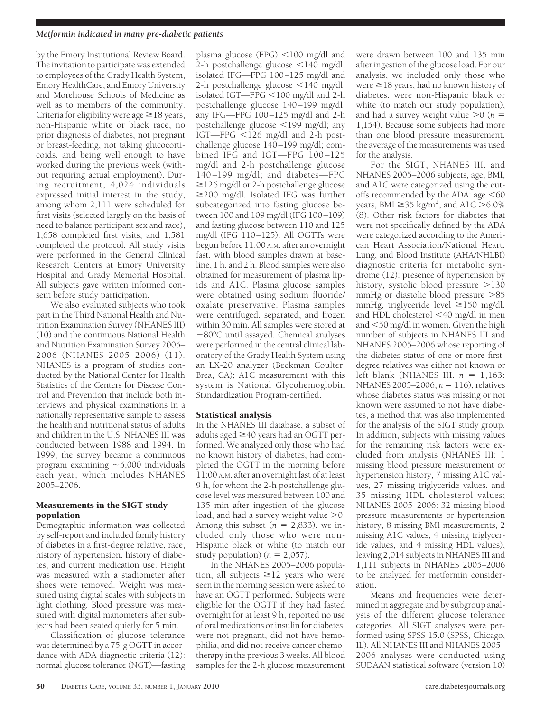## *Metformin indicated in many pre-diabetic patients*

by the Emory Institutional Review Board. The invitation to participate was extended to employees of the Grady Health System, Emory HealthCare, and Emory University and Morehouse Schools of Medicine as well as to members of the community. Criteria for eligibility were age  $\geq$  18 years, non-Hispanic white or black race, no prior diagnosis of diabetes, not pregnant or breast-feeding, not taking glucocorticoids, and being well enough to have worked during the previous week (without requiring actual employment). During recruitment, 4,024 individuals expressed initial interest in the study, among whom 2,111 were scheduled for first visits (selected largely on the basis of need to balance participant sex and race), 1,658 completed first visits, and 1,581 completed the protocol. All study visits were performed in the General Clinical Research Centers at Emory University Hospital and Grady Memorial Hospital. All subjects gave written informed consent before study participation.

We also evaluated subjects who took part in the Third National Health and Nutrition Examination Survey (NHANES III) (10) and the continuous National Health and Nutrition Examination Survey 2005– 2006 (NHANES 2005–2006) (11). NHANES is a program of studies conducted by the National Center for Health Statistics of the Centers for Disease Control and Prevention that include both interviews and physical examinations in a nationally representative sample to assess the health and nutritional status of adults and children in the U.S. NHANES III was conducted between 1988 and 1994. In 1999, the survey became a continuous program examining  $\sim$  5,000 individuals each year, which includes NHANES 2005–2006.

## Measurements in the SIGT study population

Demographic information was collected by self-report and included family history of diabetes in a first-degree relative, race, history of hypertension, history of diabetes, and current medication use. Height was measured with a stadiometer after shoes were removed. Weight was measured using digital scales with subjects in light clothing. Blood pressure was measured with digital manometers after subjects had been seated quietly for 5 min.

Classification of glucose tolerance was determined by a 75-g OGTT in accordance with ADA diagnostic criteria (12): normal glucose tolerance (NGT)—fasting

plasma glucose (FPG)  $<$ 100 mg/dl and 2-h postchallenge glucose  $\leq 140$  mg/dl; isolated IFG—FPG 100–125 mg/dl and 2-h postchallenge glucose <140 mg/dl; isolated IGT—FPG <100 mg/dl and 2-h postchallenge glucose 140–199 mg/dl; any IFG—FPG 100–125 mg/dl and 2-h postchallenge glucose 199 mg/dl; any  $IGT$ —FPG  $\leq 126$  mg/dl and 2-h postchallenge glucose 140–199 mg/dl; combined IFG and IGT—FPG 100–125 mg/dl and 2-h postchallenge glucose 140–199 mg/dl; and diabetes—FPG  $\geq$ 126 mg/dl or 2-h postchallenge glucose  $\geq$ 200 mg/dl. Isolated IFG was further subcategorized into fasting glucose between 100 and 109 mg/dl (IFG 100–109) and fasting glucose between 110 and 125 mg/dl (IFG 110–125). All OGTTs were begun before 11:00 A.M. after an overnight fast, with blood samples drawn at baseline, 1 h, and 2 h. Blood samples were also obtained for measurement of plasma lipids and A1C. Plasma glucose samples were obtained using sodium fluoride/ oxalate preservative. Plasma samples were centrifuged, separated, and frozen within 30 min. All samples were stored at 80°C until assayed. Chemical analyses were performed in the central clinical laboratory of the Grady Health System using an LX-20 analyzer (Beckman Coulter, Brea, CA); A1C measurement with this system is National Glycohemoglobin Standardization Program-certified.

# Statistical analysis

In the NHANES III database, a subset of adults aged  $\geq$  40 years had an OGTT performed. We analyzed only those who had no known history of diabetes, had completed the OGTT in the morning before 11:00 A.M. after an overnight fast of at least 9 h, for whom the 2-h postchallenge glucose level was measured between 100 and 135 min after ingestion of the glucose load, and had a survey weight value  $>$ 0. Among this subset  $(n = 2,833)$ , we included only those who were non-Hispanic black or white (to match our study population)  $(n = 2,057)$ .

In the NHANES 2005–2006 population, all subjects  $\geq$  12 years who were seen in the morning session were asked to have an OGTT performed. Subjects were eligible for the OGTT if they had fasted overnight for at least 9 h, reported no use of oral medications or insulin for diabetes, were not pregnant, did not have hemophilia, and did not receive cancer chemotherapy in the previous 3 weeks. All blood samples for the 2-h glucose measurement

were drawn between 100 and 135 min after ingestion of the glucose load. For our analysis, we included only those who were  $\geq 18$  years, had no known history of diabetes, were non-Hispanic black or white (to match our study population), and had a survey weight value  $>0$  ( $n=$ 1,154). Because some subjects had more than one blood pressure measurement, the average of the measurements was used for the analysis.

For the SIGT, NHANES III, and NHANES 2005–2006 subjects, age, BMI, and A1C were categorized using the cutoffs recommended by the ADA: age  $<60$ years, BMI  $\geq$ 35 kg/m<sup>2</sup>, and A1C  $>$ 6.0% (8). Other risk factors for diabetes that were not specifically defined by the ADA were categorized according to the American Heart Association/National Heart, Lung, and Blood Institute (AHA/NHLBI) diagnostic criteria for metabolic syndrome (12): presence of hypertension by history, systolic blood pressure >130 mmHg or diastolic blood pressure >85 mmHg, triglyceride level  $\geq 150$  mg/dl, and HDL cholesterol 40 mg/dl in men and 50 mg/dl in women. Given the high number of subjects in NHANES III and NHANES 2005–2006 whose reporting of the diabetes status of one or more firstdegree relatives was either not known or left blank (NHANES III,  $n = 1,163$ ; NHANES 2005–2006, *n* = 116), relatives whose diabetes status was missing or not known were assumed to not have diabetes, a method that was also implemented for the analysis of the SIGT study group. In addition, subjects with missing values for the remaining risk factors were excluded from analysis (NHANES III: 1 missing blood pressure measurement or hypertension history, 7 missing A1C values, 27 missing triglyceride values, and 35 missing HDL cholesterol values; NHANES 2005–2006: 32 missing blood pressure measurements or hypertension history, 8 missing BMI measurements, 2 missing A1C values, 4 missing triglyceride values, and 4 missing HDL values), leaving 2,014 subjects in NHANES III and 1,111 subjects in NHANES 2005–2006 to be analyzed for metformin consideration.

Means and frequencies were determined in aggregate and by subgroup analysis of the different glucose tolerance categories. All SIGT analyses were performed using SPSS 15.0 (SPSS, Chicago, IL). All NHANES III and NHANES 2005– 2006 analyses were conducted using SUDAAN statistical software (version 10)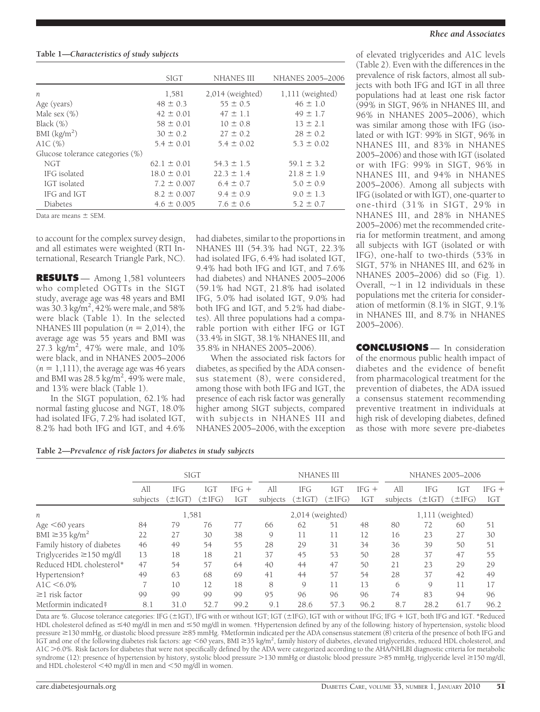## **Table 1—***Characteristics of study subjects*

|                                  | <b>SIGT</b>     | <b>NHANES III</b>  | NHANES 2005-2006   |
|----------------------------------|-----------------|--------------------|--------------------|
|                                  |                 |                    |                    |
| n                                | 1,581           | $2,014$ (weighted) | $1,111$ (weighted) |
| Age (years)                      | $48 \pm 0.3$    | $55 \pm 0.5$       | $46 \pm 1.0$       |
| Male sex $(\%)$                  | $42 \pm 0.01$   | $47 \pm 1.1$       | $49 \pm 1.7$       |
| Black $(\%)$                     | $58 \pm 0.01$   | $10 \pm 0.8$       | $13 \pm 2.1$       |
| BMI $(kg/m2)$                    | $30 \pm 0.2$    | $27 \pm 0.2$       | $28 \pm 0.2$       |
| AlC $(\%)$                       | $5.4 \pm 0.01$  | $5.4 \pm 0.02$     | $5.3 \pm 0.02$     |
| Glucose tolerance categories (%) |                 |                    |                    |
| <b>NGT</b>                       | $62.1 \pm 0.01$ | $54.3 \pm 1.5$     | $59.1 \pm 3.2$     |
| IFG isolated                     | $18.0 \pm 0.01$ | $22.3 \pm 1.4$     | $21.8 \pm 1.9$     |
| IGT isolated                     | $7.2 \pm 0.007$ | $6.4 \pm 0.7$      | $5.0 \pm 0.9$      |
| IFG and IGT                      | $8.2 \pm 0.007$ | $9.4 \pm 0.9$      | $9.0 \pm 1.3$      |
| Diabetes                         | $4.6 \pm 0.005$ | $7.6 \pm 0.6$      | $5.2 \pm 0.7$      |

Data are means  $\pm$  SEM.

to account for the complex survey design, and all estimates were weighted (RTI International, Research Triangle Park, NC).

**RESULTS** — Among 1,581 volunteers who completed OGTTs in the SIGT study, average age was 48 years and BMI was  $30.3 \text{ kg/m}^2$ ,  $42\%$  were male, and 58% were black (Table 1). In the selected NHANES III population  $(n = 2,014)$ , the average age was 55 years and BMI was 27.3 kg/m<sup>2</sup>, 47% were male, and 10% were black, and in NHANES 2005–2006  $(n = 1,111)$ , the average age was 46 years and BMI was 28.5 kg/m<sup>2</sup>, 49% were male, and 13% were black (Table 1).

In the SIGT population, 62.1% had normal fasting glucose and NGT, 18.0% had isolated IFG, 7.2% had isolated IGT, 8.2% had both IFG and IGT, and 4.6% had diabetes, similar to the proportions in NHANES III (54.3% had NGT, 22.3% had isolated IFG, 6.4% had isolated IGT, 9.4% had both IFG and IGT, and 7.6% had diabetes) and NHANES 2005–2006 (59.1% had NGT, 21.8% had isolated IFG, 5.0% had isolated IGT, 9.0% had both IFG and IGT, and 5.2% had diabetes). All three populations had a comparable portion with either IFG or IGT (33.4% in SIGT, 38.1% NHANES III, and 35.8% in NHANES 2005–2006).

When the associated risk factors for diabetes, as specified by the ADA consensus statement (8), were considered, among those with both IFG and IGT, the presence of each risk factor was generally higher among SIGT subjects, compared with subjects in NHANES III and NHANES 2005–2006, with the exception

#### *Rhee and Associates*

of elevated triglycerides and A1C levels (Table 2). Even with the differences in the prevalence of risk factors, almost all subjects with both IFG and IGT in all three populations had at least one risk factor (99% in SIGT, 96% in NHANES III, and 96% in NHANES 2005–2006), which was similar among those with IFG (isolated or with IGT: 99% in SIGT, 96% in NHANES III, and 83% in NHANES 2005–2006) and those with IGT (isolated or with IFG: 99% in SIGT, 96% in NHANES III, and 94% in NHANES 2005–2006). Among all subjects with IFG (isolated or with IGT), one-quarter to one-third (31% in SIGT, 29% in NHANES III, and 28% in NHANES 2005–2006) met the recommended criteria for metformin treatment, and among all subjects with IGT (isolated or with IFG), one-half to two-thirds (53% in SIGT, 57% in NHANES III, and 62% in NHANES 2005–2006) did so (Fig. 1). Overall,  $\sim$ 1 in 12 individuals in these populations met the criteria for consideration of metformin (8.1% in SIGT, 9.1% in NHANES III, and 8.7% in NHANES 2005–2006).

**CONCLUSIONS** — In consideration of the enormous public health impact of diabetes and the evidence of benefit from pharmacological treatment for the prevention of diabetes, the ADA issued a consensus statement recommending preventive treatment in individuals at high risk of developing diabetes, defined as those with more severe pre-diabetes

**Table 2—***Prevalence of risk factors for diabetes in study subjects*

|                                 | <b>SIGT</b>     |                           |                    |                | <b>NHANES III</b> |                           |                    | <b>NHANES 2005-2006</b> |                     |                           |                   |                |
|---------------------------------|-----------------|---------------------------|--------------------|----------------|-------------------|---------------------------|--------------------|-------------------------|---------------------|---------------------------|-------------------|----------------|
|                                 | All<br>subjects | <b>IFG</b><br>$(\pm$ IGT) | IGT<br>$(\pm IFG)$ | $IFG +$<br>IGT | All<br>subjects   | <b>IFG</b><br>$(\pm$ IGT) | IGT<br>$(\pm IFG)$ | $IFG +$<br>IGT          | All<br>subjects     | <b>IFG</b><br>$(\pm IGT)$ | IGT<br>$\pm$ IFG) | $IFG +$<br>IGT |
| п                               | 1,581           |                           |                    |                | 2,014 (weighted)  |                           |                    |                         | (weighted)<br>1,111 |                           |                   |                |
| Age $<$ 60 years                | 84              | 79                        | 76                 | 77             | 66                | 62                        | 51                 | 48                      | 80                  | 72                        | 60                | 51             |
| BMI $\geq$ 35 kg/m <sup>2</sup> | 22              | 27                        | 30                 | 38             | 9                 | 11                        | 11                 | 12                      | 16                  | 23                        | 27                | 30             |
| Family history of diabetes      | 46              | 49                        | 54                 | 55             | 28                | 29                        | 31                 | 34                      | 36                  | 39                        | 50                | 51             |
| Triglycerides $\geq$ 150 mg/dl  | 13              | 18                        | 18                 | 21             | 37                | 45                        | 53                 | 50                      | 28                  | 37                        | 47                | 55             |
| Reduced HDL cholesterol*        | 47              | 54                        | 57                 | 64             | 40                | 44                        | 47                 | 50                      | 21                  | 23                        | 29                | 29             |
| Hypertension†                   | 49              | 63                        | 68                 | 69             | 41                | 44                        | 57                 | 54                      | 28                  | 37                        | 42                | 49             |
| $A1C < 6.0\%$                   |                 | 10                        | 12                 | 18             | 8                 | 9                         | 11                 | 13                      | 6                   | 9                         | 11                | 17             |
| $\geq$ 1 risk factor            | 99              | 99                        | 99                 | 99             | 95                | 96                        | 96                 | 96                      | 74                  | 83                        | 94                | 96             |
| Metformin indicated#            | 8.1             | 31.0                      | 52.7               | 99.2           | 9.1               | 28.6                      | 57.3               | 96.2                    | 8.7                 | 28.2                      | 61.7              | 96.2           |

Data are %. Glucose tolerance categories: IFG (±IGT), IFG with or without IGT; IGT (±IFG), IGT with or without IFG; IFG + IGT, both IFG and IGT. \*Reduced HDL cholesterol defined as ≤40 mg/dl in men and ≤50 mg/dl in women. †Hypertension defined by any of the following: history of hypertension, systolic blood pressure ≥130 mmHg, or diastolic blood pressure ≥85 mmHg. ‡Metformin indicated per the ADA consensus statement (8) criteria of the presence of both IFG and IGT and one of the following diabetes risk factors: age 60 years, BMI 35 kg/m2 , family history of diabetes, elevated triglycerides, reduced HDL cholesterol, and A1C -6.0%. Risk factors for diabetes that were not specifically defined by the ADA were categorized according to the AHA/NHLBI diagnostic criteria for metabolic syndrome (12): presence of hypertension by history, systolic blood pressure >130 mmHg or diastolic blood pressure >85 mmHg, triglyceride level ≥150 mg/dl, and HDL cholesterol  $\leq$ 40 mg/dl in men and  $\leq$ 50 mg/dl in women.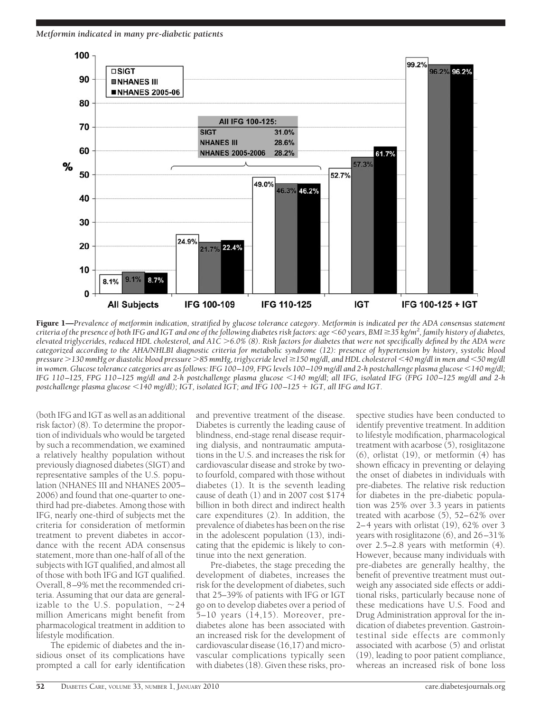*Metformin indicated in many pre-diabetic patients*



Figure 1—Prevalence of metformin indication, stratified by glucose tolerance category. Metformin is indicated per the ADA consensus statement *criteria of the presence of both IFG and IGT and one of the following diabetes risk factors: age 60 years, BMI 35 kg/m2 , family history of diabetes, elevated triglycerides, reduced HDL cholesterol, and A1C* -*6.0% (8). Risk factors for diabetes that were not specifically defined by the ADA were categorized according to the AHA/NHLBI diagnostic criteria for metabolic syndrome (12): presence of hypertension by history, systolic blood pressure* -*130 mmHg or diastolic blood pressure* -*85 mmHg, triglyceride level 150 mg/dl, and HDL cholesterol 40 mg/dl in men and 50 mg/dl in women. Glucose tolerance categories are as follows: IFG 100 –109, FPG levels 100 –109 mg/dl and 2-h postchallenge plasma glucose 140 mg/dl; IFG 110 –125, FPG 110 –125 mg/dl and 2-h postchallenge plasma glucose 140 mg/dl; all IFG, isolated IFG (FPG 100 –125 mg/dl and 2-h postchallenge plasma glucose 140 mg/dl); IGT, isolated IGT; and IFG 100 –125 IGT, all IFG and IGT.*

(both IFG and IGT as well as an additional risk factor) (8). To determine the proportion of individuals who would be targeted by such a recommendation, we examined a relatively healthy population without previously diagnosed diabetes (SIGT) and representative samples of the U.S. population (NHANES III and NHANES 2005– 2006) and found that one-quarter to onethird had pre-diabetes. Among those with IFG, nearly one-third of subjects met the criteria for consideration of metformin treatment to prevent diabetes in accordance with the recent ADA consensus statement, more than one-half of all of the subjects with IGT qualified, and almost all of those with both IFG and IGT qualified. Overall, 8–9% met the recommended criteria. Assuming that our data are generalizable to the U.S. population,  $\sim$  24 million Americans might benefit from pharmacological treatment in addition to lifestyle modification.

The epidemic of diabetes and the insidious onset of its complications have prompted a call for early identification

and preventive treatment of the disease. Diabetes is currently the leading cause of blindness, end-stage renal disease requiring dialysis, and nontraumatic amputations in the U.S. and increases the risk for cardiovascular disease and stroke by twoto fourfold, compared with those without diabetes (1). It is the seventh leading cause of death (1) and in 2007 cost \$174 billion in both direct and indirect health care expenditures (2). In addition, the prevalence of diabetes has been on the rise in the adolescent population (13), indicating that the epidemic is likely to continue into the next generation.

Pre-diabetes, the stage preceding the development of diabetes, increases the risk for the development of diabetes, such that 25–39% of patients with IFG or IGT go on to develop diabetes over a period of 5–10 years (14,15). Moreover, prediabetes alone has been associated with an increased risk for the development of cardiovascular disease (16,17) and microvascular complications typically seen with diabetes (18). Given these risks, prospective studies have been conducted to identify preventive treatment. In addition to lifestyle modification, pharmacological treatment with acarbose (5), rosiglitazone (6), orlistat (19), or metformin (4) has shown efficacy in preventing or delaying the onset of diabetes in individuals with pre-diabetes. The relative risk reduction for diabetes in the pre-diabetic population was 25% over 3.3 years in patients treated with acarbose  $(5)$ , 52–62% over 2–4 years with orlistat (19), 62% over 3 years with rosiglitazone (6), and 26–31% over 2.5–2.8 years with metformin (4). However, because many individuals with pre-diabetes are generally healthy, the benefit of preventive treatment must outweigh any associated side effects or additional risks, particularly because none of these medications have U.S. Food and Drug Administration approval for the indication of diabetes prevention. Gastrointestinal side effects are commonly associated with acarbose (5) and orlistat (19), leading to poor patient compliance, whereas an increased risk of bone loss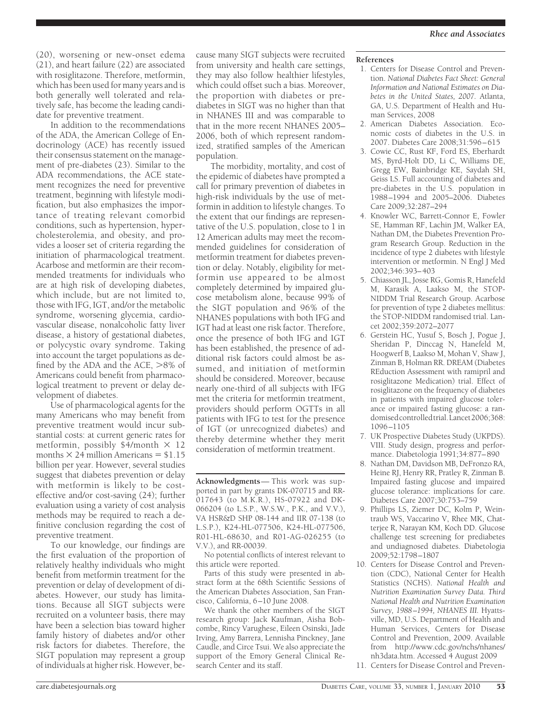(20), worsening or new-onset edema (21), and heart failure (22) are associated with rosiglitazone. Therefore, metformin, which has been used for many years and is both generally well tolerated and relatively safe, has become the leading candidate for preventive treatment.

In addition to the recommendations of the ADA, the American College of Endocrinology (ACE) has recently issued their consensus statement on the management of pre-diabetes (23). Similar to the ADA recommendations, the ACE statement recognizes the need for preventive treatment, beginning with lifestyle modification, but also emphasizes the importance of treating relevant comorbid conditions, such as hypertension, hypercholesterolemia, and obesity, and provides a looser set of criteria regarding the initiation of pharmacological treatment. Acarbose and metformin are their recommended treatments for individuals who are at high risk of developing diabetes, which include, but are not limited to, those with IFG, IGT, and/or the metabolic syndrome, worsening glycemia, cardiovascular disease, nonalcoholic fatty liver disease, a history of gestational diabetes, or polycystic ovary syndrome. Taking into account the target populations as defined by the ADA and the ACE,  $>8\%$  of Americans could benefit from pharmacological treatment to prevent or delay development of diabetes.

Use of pharmacological agents for the many Americans who may benefit from preventive treatment would incur substantial costs: at current generic rates for metformin, possibly  $$4/m$ onth  $\times$  12 months  $\times$  24 million Americans = \$1.15 billion per year. However, several studies suggest that diabetes prevention or delay with metformin is likely to be costeffective and/or cost-saving (24); further evaluation using a variety of cost analysis methods may be required to reach a definitive conclusion regarding the cost of preventive treatment.

To our knowledge, our findings are the first evaluation of the proportion of relatively healthy individuals who might benefit from metformin treatment for the prevention or delay of development of diabetes. However, our study has limitations. Because all SIGT subjects were recruited on a volunteer basis, there may have been a selection bias toward higher family history of diabetes and/or other risk factors for diabetes. Therefore, the SIGT population may represent a group of individuals at higher risk. However, be-

cause many SIGT subjects were recruited from university and health care settings, they may also follow healthier lifestyles, which could offset such a bias. Moreover, the proportion with diabetes or prediabetes in SIGT was no higher than that in NHANES III and was comparable to that in the more recent NHANES 2005– 2006, both of which represent randomized, stratified samples of the American population.

The morbidity, mortality, and cost of the epidemic of diabetes have prompted a call for primary prevention of diabetes in high-risk individuals by the use of metformin in addition to lifestyle changes. To the extent that our findings are representative of the U.S. population, close to 1 in 12 American adults may meet the recommended guidelines for consideration of metformin treatment for diabetes prevention or delay. Notably, eligibility for metformin use appeared to be almost completely determined by impaired glucose metabolism alone, because 99% of the SIGT population and 96% of the NHANES populations with both IFG and IGT had at least one risk factor. Therefore, once the presence of both IFG and IGT has been established, the presence of additional risk factors could almost be assumed, and initiation of metformin should be considered. Moreover, because nearly one-third of all subjects with IFG met the criteria for metformin treatment, providers should perform OGTTs in all patients with IFG to test for the presence of IGT (or unrecognized diabetes) and thereby determine whether they merit consideration of metformin treatment.

**Acknowledgments**— This work was supported in part by grants DK-070715 and RR-017643 (to M.K.R.), HS-07922 and DK-066204 (to L.S.P., W.S.W., P.K., and V.V.), VA HSR&D SHP 08-144 and IIR 07-138 (to L.S.P.), K24-HL-077506, K24-HL-077506, R01-HL-68630, and R01-AG-026255 (to V.V.), and RR-00039.

No potential conflicts of interest relevant to this article were reported.

Parts of this study were presented in abstract form at the 68th Scientific Sessions of the American Diabetes Association, San Francisco, California, 6–10 June 2008.

We thank the other members of the SIGT research group: Jack Kaufman, Aisha Bobcombe, Rincy Varughese, Eileen Osinski, Jade Irving, Amy Barrera, Lennisha Pinckney, Jane Caudle, and Circe Tsui. We also appreciate the support of the Emory General Clinical Research Center and its staff.

### **References**

- 1. Centers for Disease Control and Prevention. *National Diabetes Fact Sheet: General Information and National Estimates on Diabetes in the United States, 2007.* Atlanta, GA, U.S. Department of Health and Human Services, 2008
- 2. American Diabetes Association. Economic costs of diabetes in the U.S. in 2007. Diabetes Care 2008;31:596–615
- 3. Cowie CC, Rust KF, Ford ES, Eberhardt MS, Byrd-Holt DD, Li C, Williams DE, Gregg EW, Bainbridge KE, Saydah SH, Geiss LS. Full accounting of diabetes and pre-diabetes in the U.S. population in 1988–1994 and 2005–2006. Diabetes Care 2009;32:287–294
- 4. Knowler WC, Barrett-Connor E, Fowler SE, Hamman RF, Lachin JM, Walker EA, Nathan DM, the Diabetes Prevention Program Research Group. Reduction in the incidence of type 2 diabetes with lifestyle intervention or metformin. N Engl J Med 2002;346:393–403
- 5. Chiasson JL, Josse RG, Gomis R, Hanefeld M, Karasik A, Laakso M, the STOP-NIDDM Trial Research Group. Acarbose for prevention of type 2 diabetes mellitus: the STOP-NIDDM randomised trial. Lancet 2002;359:2072–2077
- 6. Gerstein HC, Yusuf S, Bosch J, Pogue J, Sheridan P, Dinccag N, Hanefeld M, Hoogwerf B, Laakso M, Mohan V, Shaw J, Zinman B, Holman RR. DREAM (Diabetes REduction Assessment with ramipril and rosiglitazone Medication) trial. Effect of rosiglitazone on the frequency of diabetes in patients with impaired glucose tolerance or impaired fasting glucose: a randomisedcontrolledtrial.Lancet2006;368: 1096–1105
- 7. UK Prospective Diabetes Study (UKPDS). VIII. Study design, progress and performance. Diabetologia 1991;34:877–890
- 8. Nathan DM, Davidson MB, DeFronzo RA, Heine RJ, Henry RR, Pratley R, Zinman B. Impaired fasting glucose and impaired glucose tolerance: implications for care. Diabetes Care 2007;30:753–759
- 9. Phillips LS, Ziemer DC, Kolm P, Weintraub WS, Vaccarino V, Rhee MK, Chatterjee R, Narayan KM, Koch DD. Glucose challenge test screening for prediabetes and undiagnosed diabetes. Diabetologia 2009;52:1798–1807
- 10. Centers for Disease Control and Prevention (CDC), National Center for Health Statistics (NCHS). *National Health and Nutrition Examination Survey Data. Third National Health and Nutrition Examination Survey, 1988 –1994, NHANES III.* Hyattsville, MD, U.S. Department of Health and Human Services, Centers for Disease Control and Prevention, 2009. Available from http://www.cdc.gov/nchs/nhanes/ nh3data.htm. Accessed 4 August 2009
- 11. Centers for Disease Control and Preven-